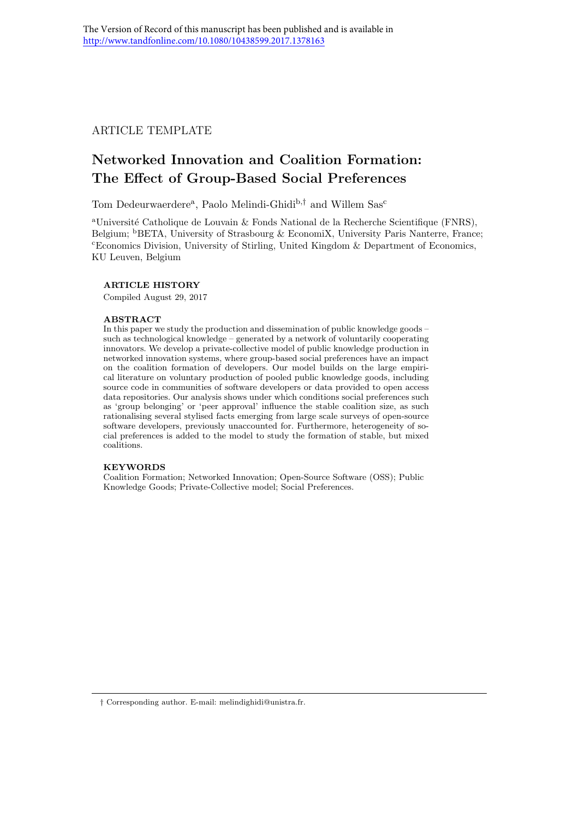# ARTICLE TEMPLATE

# Networked Innovation and Coalition Formation: The Effect of Group-Based Social Preferences

Tom Dedeurwaerdere<sup>a</sup>, Paolo Melindi-Ghidi<sup>b,†</sup> and Willem Sas<sup>c</sup>

<sup>a</sup>Université Catholique de Louvain & Fonds National de la Recherche Scientifique (FNRS), Belgium; <sup>b</sup>BETA, University of Strasbourg & EconomiX, University Paris Nanterre, France; <sup>c</sup>Economics Division, University of Stirling, United Kingdom & Department of Economics, KU Leuven, Belgium

#### ARTICLE HISTORY

Compiled August 29, 2017

#### ABSTRACT

In this paper we study the production and dissemination of public knowledge goods – such as technological knowledge – generated by a network of voluntarily cooperating innovators. We develop a private-collective model of public knowledge production in networked innovation systems, where group-based social preferences have an impact on the coalition formation of developers. Our model builds on the large empirical literature on voluntary production of pooled public knowledge goods, including source code in communities of software developers or data provided to open access data repositories. Our analysis shows under which conditions social preferences such as 'group belonging' or 'peer approval' influence the stable coalition size, as such rationalising several stylised facts emerging from large scale surveys of open-source software developers, previously unaccounted for. Furthermore, heterogeneity of social preferences is added to the model to study the formation of stable, but mixed coalitions.

#### **KEYWORDS**

Coalition Formation; Networked Innovation; Open-Source Software (OSS); Public Knowledge Goods; Private-Collective model; Social Preferences.

<sup>†</sup> Corresponding author. E-mail: melindighidi@unistra.fr.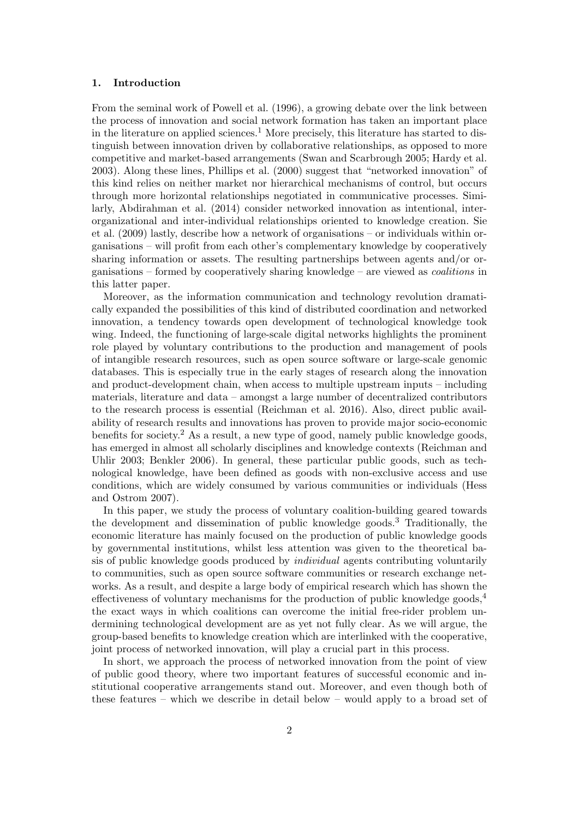# 1. Introduction

From the seminal work of Powell et al. (1996), a growing debate over the link between the process of innovation and social network formation has taken an important place in the literature on applied sciences.<sup>1</sup> More precisely, this literature has started to distinguish between innovation driven by collaborative relationships, as opposed to more competitive and market-based arrangements (Swan and Scarbrough 2005; Hardy et al. 2003). Along these lines, Phillips et al. (2000) suggest that "networked innovation" of this kind relies on neither market nor hierarchical mechanisms of control, but occurs through more horizontal relationships negotiated in communicative processes. Similarly, Abdirahman et al. (2014) consider networked innovation as intentional, interorganizational and inter-individual relationships oriented to knowledge creation. Sie et al. (2009) lastly, describe how a network of organisations – or individuals within organisations – will profit from each other's complementary knowledge by cooperatively sharing information or assets. The resulting partnerships between agents and/or organisations – formed by cooperatively sharing knowledge – are viewed as coalitions in this latter paper.

Moreover, as the information communication and technology revolution dramatically expanded the possibilities of this kind of distributed coordination and networked innovation, a tendency towards open development of technological knowledge took wing. Indeed, the functioning of large-scale digital networks highlights the prominent role played by voluntary contributions to the production and management of pools of intangible research resources, such as open source software or large-scale genomic databases. This is especially true in the early stages of research along the innovation and product-development chain, when access to multiple upstream inputs – including materials, literature and data – amongst a large number of decentralized contributors to the research process is essential (Reichman et al. 2016). Also, direct public availability of research results and innovations has proven to provide major socio-economic benefits for society.<sup>2</sup> As a result, a new type of good, namely public knowledge goods, has emerged in almost all scholarly disciplines and knowledge contexts (Reichman and Uhlir 2003; Benkler 2006). In general, these particular public goods, such as technological knowledge, have been defined as goods with non-exclusive access and use conditions, which are widely consumed by various communities or individuals (Hess and Ostrom 2007).

In this paper, we study the process of voluntary coalition-building geared towards the development and dissemination of public knowledge goods.<sup>3</sup> Traditionally, the economic literature has mainly focused on the production of public knowledge goods by governmental institutions, whilst less attention was given to the theoretical basis of public knowledge goods produced by individual agents contributing voluntarily to communities, such as open source software communities or research exchange networks. As a result, and despite a large body of empirical research which has shown the effectiveness of voluntary mechanisms for the production of public knowledge goods,<sup>4</sup> the exact ways in which coalitions can overcome the initial free-rider problem undermining technological development are as yet not fully clear. As we will argue, the group-based benefits to knowledge creation which are interlinked with the cooperative, joint process of networked innovation, will play a crucial part in this process.

In short, we approach the process of networked innovation from the point of view of public good theory, where two important features of successful economic and institutional cooperative arrangements stand out. Moreover, and even though both of these features – which we describe in detail below – would apply to a broad set of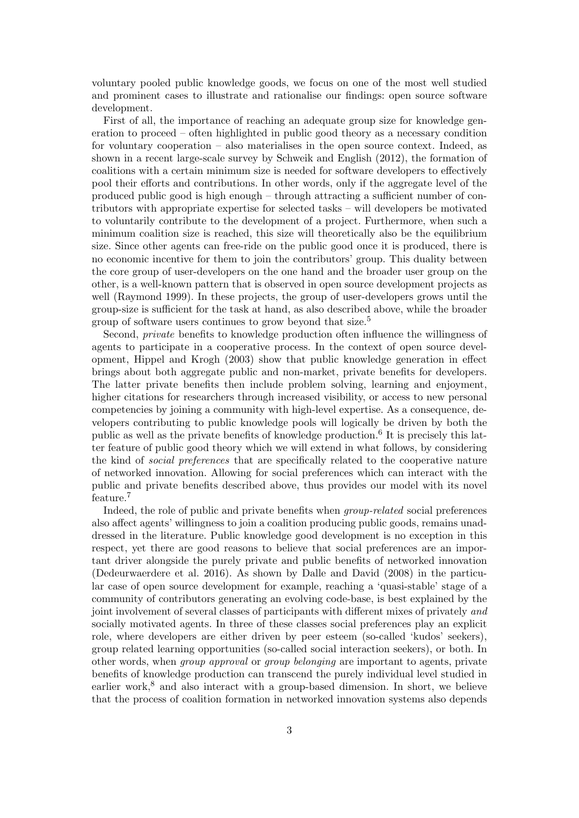voluntary pooled public knowledge goods, we focus on one of the most well studied and prominent cases to illustrate and rationalise our findings: open source software development.

First of all, the importance of reaching an adequate group size for knowledge generation to proceed – often highlighted in public good theory as a necessary condition for voluntary cooperation – also materialises in the open source context. Indeed, as shown in a recent large-scale survey by Schweik and English (2012), the formation of coalitions with a certain minimum size is needed for software developers to effectively pool their efforts and contributions. In other words, only if the aggregate level of the produced public good is high enough – through attracting a sufficient number of contributors with appropriate expertise for selected tasks – will developers be motivated to voluntarily contribute to the development of a project. Furthermore, when such a minimum coalition size is reached, this size will theoretically also be the equilibrium size. Since other agents can free-ride on the public good once it is produced, there is no economic incentive for them to join the contributors' group. This duality between the core group of user-developers on the one hand and the broader user group on the other, is a well-known pattern that is observed in open source development projects as well (Raymond 1999). In these projects, the group of user-developers grows until the group-size is sufficient for the task at hand, as also described above, while the broader group of software users continues to grow beyond that size.<sup>5</sup>

Second, private benefits to knowledge production often influence the willingness of agents to participate in a cooperative process. In the context of open source development, Hippel and Krogh (2003) show that public knowledge generation in effect brings about both aggregate public and non-market, private benefits for developers. The latter private benefits then include problem solving, learning and enjoyment, higher citations for researchers through increased visibility, or access to new personal competencies by joining a community with high-level expertise. As a consequence, developers contributing to public knowledge pools will logically be driven by both the public as well as the private benefits of knowledge production.<sup>6</sup> It is precisely this latter feature of public good theory which we will extend in what follows, by considering the kind of social preferences that are specifically related to the cooperative nature of networked innovation. Allowing for social preferences which can interact with the public and private benefits described above, thus provides our model with its novel feature.<sup>7</sup>

Indeed, the role of public and private benefits when group-related social preferences also affect agents' willingness to join a coalition producing public goods, remains unaddressed in the literature. Public knowledge good development is no exception in this respect, yet there are good reasons to believe that social preferences are an important driver alongside the purely private and public benefits of networked innovation (Dedeurwaerdere et al. 2016). As shown by Dalle and David (2008) in the particular case of open source development for example, reaching a 'quasi-stable' stage of a community of contributors generating an evolving code-base, is best explained by the joint involvement of several classes of participants with different mixes of privately and socially motivated agents. In three of these classes social preferences play an explicit role, where developers are either driven by peer esteem (so-called 'kudos' seekers), group related learning opportunities (so-called social interaction seekers), or both. In other words, when group approval or group belonging are important to agents, private benefits of knowledge production can transcend the purely individual level studied in earlier work, $8$  and also interact with a group-based dimension. In short, we believe that the process of coalition formation in networked innovation systems also depends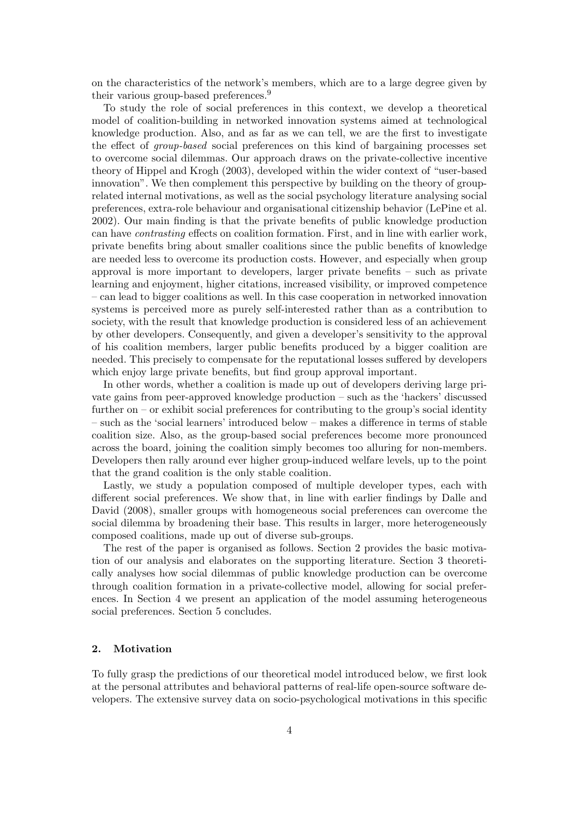on the characteristics of the network's members, which are to a large degree given by their various group-based preferences.<sup>9</sup>

To study the role of social preferences in this context, we develop a theoretical model of coalition-building in networked innovation systems aimed at technological knowledge production. Also, and as far as we can tell, we are the first to investigate the effect of group-based social preferences on this kind of bargaining processes set to overcome social dilemmas. Our approach draws on the private-collective incentive theory of Hippel and Krogh (2003), developed within the wider context of "user-based innovation". We then complement this perspective by building on the theory of grouprelated internal motivations, as well as the social psychology literature analysing social preferences, extra-role behaviour and organisational citizenship behavior (LePine et al. 2002). Our main finding is that the private benefits of public knowledge production can have contrasting effects on coalition formation. First, and in line with earlier work, private benefits bring about smaller coalitions since the public benefits of knowledge are needed less to overcome its production costs. However, and especially when group approval is more important to developers, larger private benefits – such as private learning and enjoyment, higher citations, increased visibility, or improved competence – can lead to bigger coalitions as well. In this case cooperation in networked innovation systems is perceived more as purely self-interested rather than as a contribution to society, with the result that knowledge production is considered less of an achievement by other developers. Consequently, and given a developer's sensitivity to the approval of his coalition members, larger public benefits produced by a bigger coalition are needed. This precisely to compensate for the reputational losses suffered by developers which enjoy large private benefits, but find group approval important.

In other words, whether a coalition is made up out of developers deriving large private gains from peer-approved knowledge production – such as the 'hackers' discussed further on – or exhibit social preferences for contributing to the group's social identity – such as the 'social learners' introduced below – makes a difference in terms of stable coalition size. Also, as the group-based social preferences become more pronounced across the board, joining the coalition simply becomes too alluring for non-members. Developers then rally around ever higher group-induced welfare levels, up to the point that the grand coalition is the only stable coalition.

Lastly, we study a population composed of multiple developer types, each with different social preferences. We show that, in line with earlier findings by Dalle and David (2008), smaller groups with homogeneous social preferences can overcome the social dilemma by broadening their base. This results in larger, more heterogeneously composed coalitions, made up out of diverse sub-groups.

The rest of the paper is organised as follows. Section 2 provides the basic motivation of our analysis and elaborates on the supporting literature. Section 3 theoretically analyses how social dilemmas of public knowledge production can be overcome through coalition formation in a private-collective model, allowing for social preferences. In Section 4 we present an application of the model assuming heterogeneous social preferences. Section 5 concludes.

# 2. Motivation

To fully grasp the predictions of our theoretical model introduced below, we first look at the personal attributes and behavioral patterns of real-life open-source software developers. The extensive survey data on socio-psychological motivations in this specific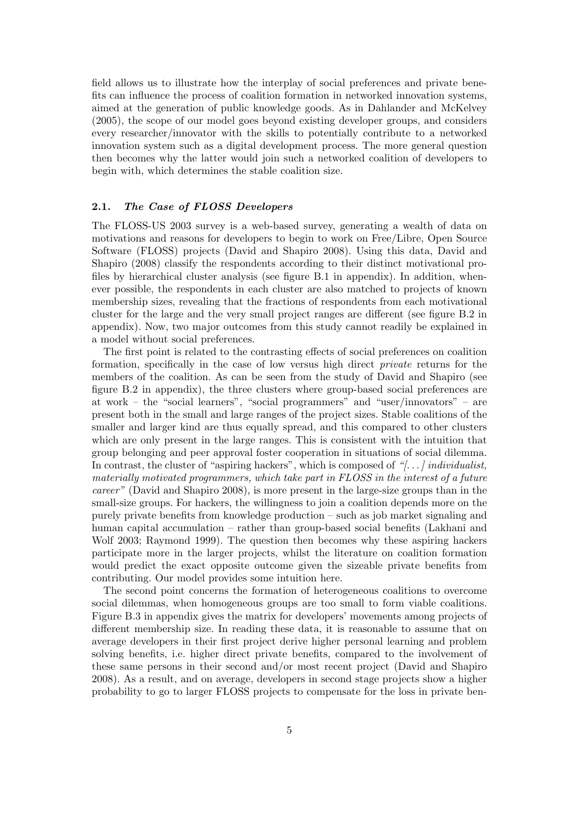field allows us to illustrate how the interplay of social preferences and private benefits can influence the process of coalition formation in networked innovation systems, aimed at the generation of public knowledge goods. As in Dahlander and McKelvey (2005), the scope of our model goes beyond existing developer groups, and considers every researcher/innovator with the skills to potentially contribute to a networked innovation system such as a digital development process. The more general question then becomes why the latter would join such a networked coalition of developers to begin with, which determines the stable coalition size.

## 2.1. The Case of FLOSS Developers

The FLOSS-US 2003 survey is a web-based survey, generating a wealth of data on motivations and reasons for developers to begin to work on Free/Libre, Open Source Software (FLOSS) projects (David and Shapiro 2008). Using this data, David and Shapiro (2008) classify the respondents according to their distinct motivational profiles by hierarchical cluster analysis (see figure B.1 in appendix). In addition, whenever possible, the respondents in each cluster are also matched to projects of known membership sizes, revealing that the fractions of respondents from each motivational cluster for the large and the very small project ranges are different (see figure B.2 in appendix). Now, two major outcomes from this study cannot readily be explained in a model without social preferences.

The first point is related to the contrasting effects of social preferences on coalition formation, specifically in the case of low versus high direct private returns for the members of the coalition. As can be seen from the study of David and Shapiro (see figure B.2 in appendix), the three clusters where group-based social preferences are at work – the "social learners", "social programmers" and "user/innovators" – are present both in the small and large ranges of the project sizes. Stable coalitions of the smaller and larger kind are thus equally spread, and this compared to other clusters which are only present in the large ranges. This is consistent with the intuition that group belonging and peer approval foster cooperation in situations of social dilemma. In contrast, the cluster of "aspiring hackers", which is composed of " $[...]$  individualist, materially motivated programmers, which take part in FLOSS in the interest of a future career" (David and Shapiro 2008), is more present in the large-size groups than in the small-size groups. For hackers, the willingness to join a coalition depends more on the purely private benefits from knowledge production – such as job market signaling and human capital accumulation – rather than group-based social benefits (Lakhani and Wolf 2003; Raymond 1999). The question then becomes why these aspiring hackers participate more in the larger projects, whilst the literature on coalition formation would predict the exact opposite outcome given the sizeable private benefits from contributing. Our model provides some intuition here.

The second point concerns the formation of heterogeneous coalitions to overcome social dilemmas, when homogeneous groups are too small to form viable coalitions. Figure B.3 in appendix gives the matrix for developers' movements among projects of different membership size. In reading these data, it is reasonable to assume that on average developers in their first project derive higher personal learning and problem solving benefits, i.e. higher direct private benefits, compared to the involvement of these same persons in their second and/or most recent project (David and Shapiro 2008). As a result, and on average, developers in second stage projects show a higher probability to go to larger FLOSS projects to compensate for the loss in private ben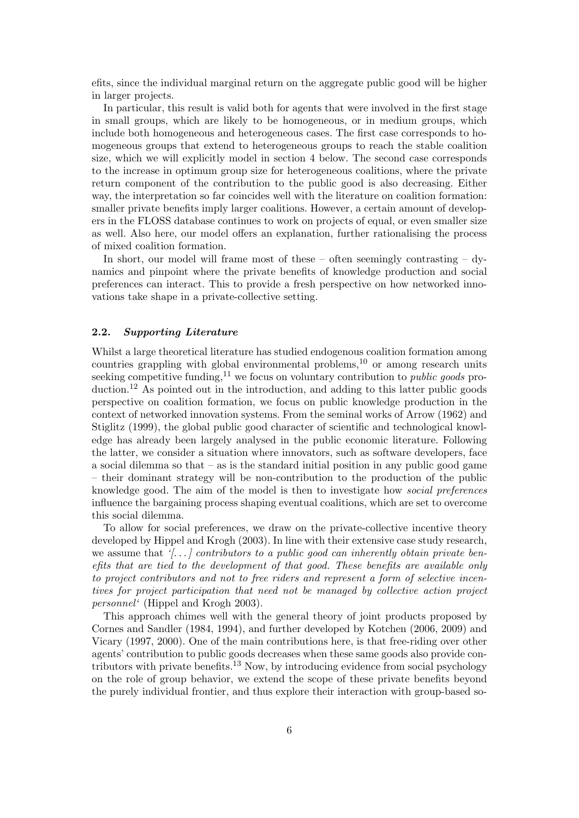efits, since the individual marginal return on the aggregate public good will be higher in larger projects.

In particular, this result is valid both for agents that were involved in the first stage in small groups, which are likely to be homogeneous, or in medium groups, which include both homogeneous and heterogeneous cases. The first case corresponds to homogeneous groups that extend to heterogeneous groups to reach the stable coalition size, which we will explicitly model in section 4 below. The second case corresponds to the increase in optimum group size for heterogeneous coalitions, where the private return component of the contribution to the public good is also decreasing. Either way, the interpretation so far coincides well with the literature on coalition formation: smaller private benefits imply larger coalitions. However, a certain amount of developers in the FLOSS database continues to work on projects of equal, or even smaller size as well. Also here, our model offers an explanation, further rationalising the process of mixed coalition formation.

In short, our model will frame most of these – often seemingly contrasting – dynamics and pinpoint where the private benefits of knowledge production and social preferences can interact. This to provide a fresh perspective on how networked innovations take shape in a private-collective setting.

#### 2.2. Supporting Literature

Whilst a large theoretical literature has studied endogenous coalition formation among countries grappling with global environmental problems, $^{10}$  or among research units seeking competitive funding,<sup>11</sup> we focus on voluntary contribution to *public goods* production.<sup>12</sup> As pointed out in the introduction, and adding to this latter public goods perspective on coalition formation, we focus on public knowledge production in the context of networked innovation systems. From the seminal works of Arrow (1962) and Stiglitz (1999), the global public good character of scientific and technological knowledge has already been largely analysed in the public economic literature. Following the latter, we consider a situation where innovators, such as software developers, face a social dilemma so that – as is the standard initial position in any public good game – their dominant strategy will be non-contribution to the production of the public knowledge good. The aim of the model is then to investigate how social preferences influence the bargaining process shaping eventual coalitions, which are set to overcome this social dilemma.

To allow for social preferences, we draw on the private-collective incentive theory developed by Hippel and Krogh (2003). In line with their extensive case study research, we assume that  $\langle \ldots \rangle$  contributors to a public good can inherently obtain private benefits that are tied to the development of that good. These benefits are available only to project contributors and not to free riders and represent a form of selective incentives for project participation that need not be managed by collective action project personnel' (Hippel and Krogh 2003).

This approach chimes well with the general theory of joint products proposed by Cornes and Sandler (1984, 1994), and further developed by Kotchen (2006, 2009) and Vicary (1997, 2000). One of the main contributions here, is that free-riding over other agents' contribution to public goods decreases when these same goods also provide contributors with private benefits.<sup>13</sup> Now, by introducing evidence from social psychology on the role of group behavior, we extend the scope of these private benefits beyond the purely individual frontier, and thus explore their interaction with group-based so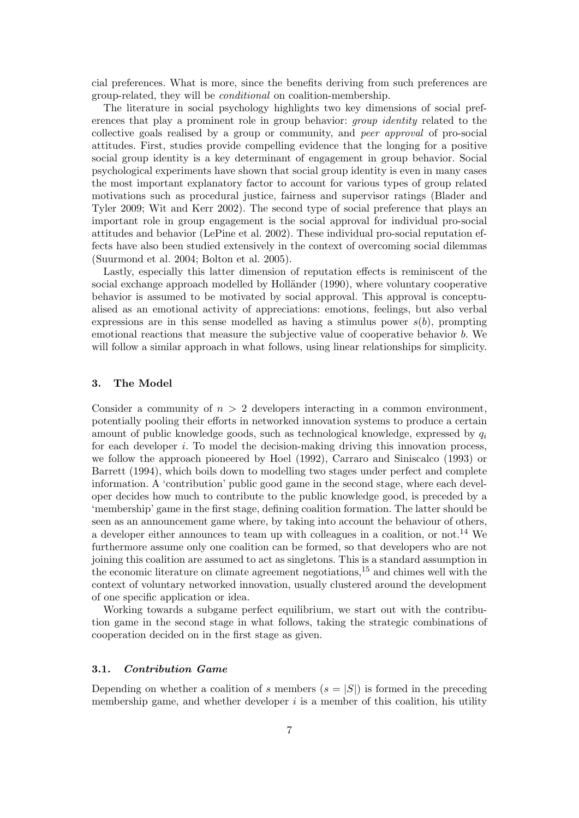cial preferences. What is more, since the benefits deriving from such preferences are group-related, they will be conditional on coalition-membership.

The literature in social psychology highlights two key dimensions of social preferences that play a prominent role in group behavior: *group identity* related to the collective goals realised by a group or community, and peer approval of pro-social attitudes. First, studies provide compelling evidence that the longing for a positive social group identity is a key determinant of engagement in group behavior. Social psychological experiments have shown that social group identity is even in many cases the most important explanatory factor to account for various types of group related motivations such as procedural justice, fairness and supervisor ratings (Blader and Tyler 2009; Wit and Kerr 2002). The second type of social preference that plays an important role in group engagement is the social approval for individual pro-social attitudes and behavior (LePine et al. 2002). These individual pro-social reputation effects have also been studied extensively in the context of overcoming social dilemmas (Suurmond et al. 2004; Bolton et al. 2005).

Lastly, especially this latter dimension of reputation effects is reminiscent of the social exchange approach modelled by Holländer (1990), where voluntary cooperative behavior is assumed to be motivated by social approval. This approval is conceptualised as an emotional activity of appreciations: emotions, feelings, but also verbal expressions are in this sense modelled as having a stimulus power  $s(b)$ , prompting emotional reactions that measure the subjective value of cooperative behavior b. We will follow a similar approach in what follows, using linear relationships for simplicity.

#### 3. The Model

Consider a community of  $n > 2$  developers interacting in a common environment, potentially pooling their efforts in networked innovation systems to produce a certain amount of public knowledge goods, such as technological knowledge, expressed by  $q_i$ for each developer i. To model the decision-making driving this innovation process, we follow the approach pioneered by Hoel (1992), Carraro and Siniscalco (1993) or Barrett (1994), which boils down to modelling two stages under perfect and complete information. A 'contribution' public good game in the second stage, where each developer decides how much to contribute to the public knowledge good, is preceded by a 'membership' game in the first stage, defining coalition formation. The latter should be seen as an announcement game where, by taking into account the behaviour of others, a developer either announces to team up with colleagues in a coalition, or not.<sup>14</sup> We furthermore assume only one coalition can be formed, so that developers who are not joining this coalition are assumed to act as singletons. This is a standard assumption in the economic literature on climate agreement negotiations,<sup>15</sup> and chimes well with the context of voluntary networked innovation, usually clustered around the development of one specific application or idea.

Working towards a subgame perfect equilibrium, we start out with the contribution game in the second stage in what follows, taking the strategic combinations of cooperation decided on in the first stage as given.

#### 3.1. Contribution Game

Depending on whether a coalition of s members  $(s = |S|)$  is formed in the preceding membership game, and whether developer  $i$  is a member of this coalition, his utility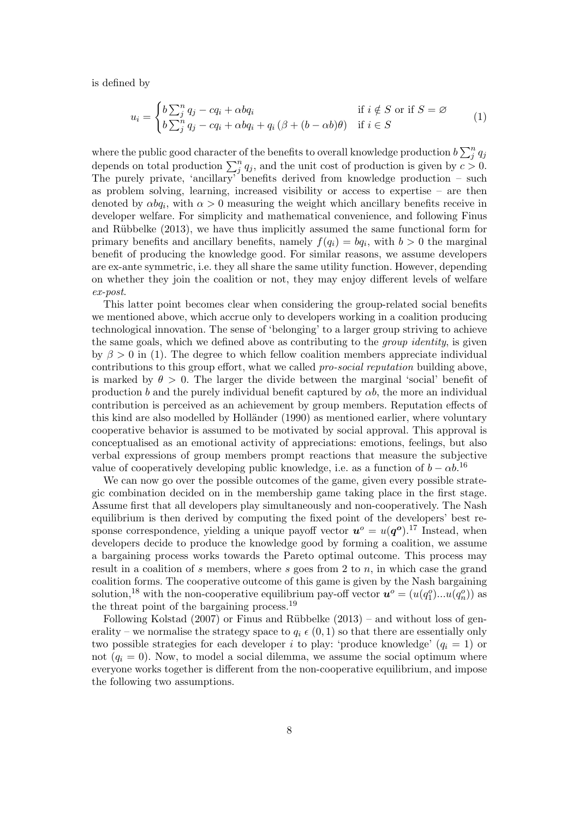is defined by

$$
u_i = \begin{cases} b \sum_{j=1}^{n} q_j - cq_i + \alpha bq_i & \text{if } i \notin S \text{ or if } S = \varnothing \\ b \sum_{j=1}^{n} q_j - cq_i + \alpha bq_i + q_i (\beta + (b - \alpha b)\theta) & \text{if } i \in S \end{cases}
$$
(1)

where the public good character of the benefits to overall knowledge production  $b\sum_{j}^{n}q_{j}$ depends on total production  $\sum_{j=1}^{n} q_j$ , and the unit cost of production is given by  $c > 0$ . The purely private, 'ancillary' benefits derived from knowledge production – such as problem solving, learning, increased visibility or access to expertise – are then denoted by  $\alpha bq_i$ , with  $\alpha > 0$  measuring the weight which ancillary benefits receive in developer welfare. For simplicity and mathematical convenience, and following Finus and Rübbelke (2013), we have thus implicitly assumed the same functional form for primary benefits and ancillary benefits, namely  $f(q_i) = bq_i$ , with  $b > 0$  the marginal benefit of producing the knowledge good. For similar reasons, we assume developers are ex-ante symmetric, i.e. they all share the same utility function. However, depending on whether they join the coalition or not, they may enjoy different levels of welfare ex-post.

This latter point becomes clear when considering the group-related social benefits we mentioned above, which accrue only to developers working in a coalition producing technological innovation. The sense of 'belonging' to a larger group striving to achieve the same goals, which we defined above as contributing to the *group identity*, is given by  $\beta > 0$  in (1). The degree to which fellow coalition members appreciate individual contributions to this group effort, what we called *pro-social reputation* building above. is marked by  $\theta > 0$ . The larger the divide between the marginal 'social' benefit of production b and the purely individual benefit captured by  $\alpha b$ , the more an individual contribution is perceived as an achievement by group members. Reputation effects of this kind are also modelled by Holländer (1990) as mentioned earlier, where voluntary cooperative behavior is assumed to be motivated by social approval. This approval is conceptualised as an emotional activity of appreciations: emotions, feelings, but also verbal expressions of group members prompt reactions that measure the subjective value of cooperatively developing public knowledge, i.e. as a function of  $b - \alpha b$ .<sup>16</sup>

We can now go over the possible outcomes of the game, given every possible strategic combination decided on in the membership game taking place in the first stage. Assume first that all developers play simultaneously and non-cooperatively. The Nash equilibrium is then derived by computing the fixed point of the developers' best response correspondence, yielding a unique payoff vector  $u^o = u(q^o)$ .<sup>17</sup> Instead, when developers decide to produce the knowledge good by forming a coalition, we assume a bargaining process works towards the Pareto optimal outcome. This process may result in a coalition of s members, where s goes from 2 to n, in which case the grand coalition forms. The cooperative outcome of this game is given by the Nash bargaining solution,<sup>18</sup> with the non-cooperative equilibrium pay-off vector  $u^o = (u(q_1^o)...u(q_n^o))$  as the threat point of the bargaining process.<sup>19</sup>

Following Kolstad (2007) or Finus and Rübbelke (2013) – and without loss of generality – we normalise the strategy space to  $q_i \in (0, 1)$  so that there are essentially only two possible strategies for each developer i to play: 'produce knowledge'  $(q_i = 1)$  or not  $(q_i = 0)$ . Now, to model a social dilemma, we assume the social optimum where everyone works together is different from the non-cooperative equilibrium, and impose the following two assumptions.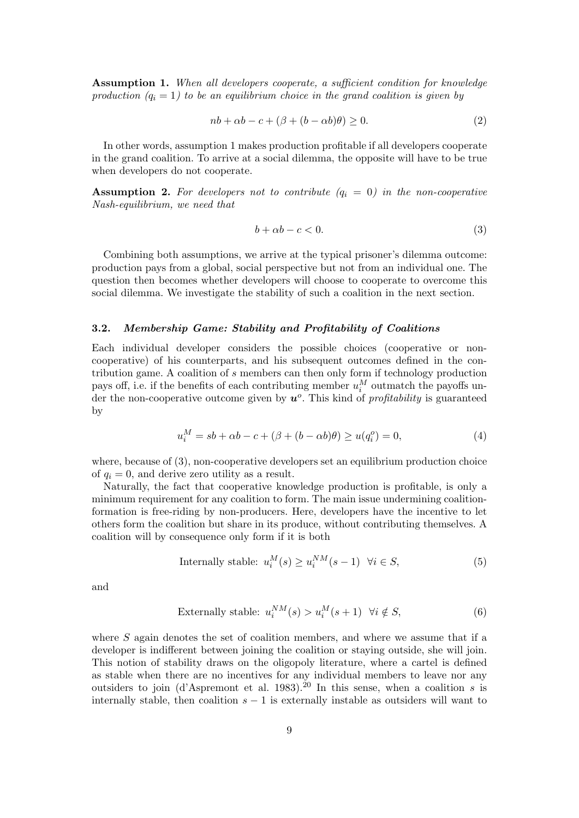Assumption 1. When all developers cooperate, a sufficient condition for knowledge production  $(q_i = 1)$  to be an equilibrium choice in the grand coalition is given by

$$
nb + \alpha b - c + (\beta + (b - \alpha b)\theta) \ge 0.
$$
 (2)

In other words, assumption 1 makes production profitable if all developers cooperate in the grand coalition. To arrive at a social dilemma, the opposite will have to be true when developers do not cooperate.

**Assumption 2.** For developers not to contribute  $(q_i = 0)$  in the non-cooperative Nash-equilibrium, we need that

$$
b + \alpha b - c < 0. \tag{3}
$$

Combining both assumptions, we arrive at the typical prisoner's dilemma outcome: production pays from a global, social perspective but not from an individual one. The question then becomes whether developers will choose to cooperate to overcome this social dilemma. We investigate the stability of such a coalition in the next section.

## 3.2. Membership Game: Stability and Profitability of Coalitions

Each individual developer considers the possible choices (cooperative or noncooperative) of his counterparts, and his subsequent outcomes defined in the contribution game. A coalition of s members can then only form if technology production pays off, i.e. if the benefits of each contributing member  $u_i^M$  outmatch the payoffs under the non-cooperative outcome given by  $u^o$ . This kind of *profitability* is guaranteed by

$$
u_i^M = sb + \alpha b - c + (\beta + (b - \alpha b)\theta) \ge u(q_i^o) = 0,
$$
\n(4)

where, because of (3), non-cooperative developers set an equilibrium production choice of  $q_i = 0$ , and derive zero utility as a result.

Naturally, the fact that cooperative knowledge production is profitable, is only a minimum requirement for any coalition to form. The main issue undermining coalitionformation is free-riding by non-producers. Here, developers have the incentive to let others form the coalition but share in its produce, without contributing themselves. A coalition will by consequence only form if it is both

Internally stable: 
$$
u_i^M(s) \ge u_i^{NM}(s-1) \quad \forall i \in S,
$$
 (5)

and

$$
Externally stable: u_i^{NM}(s) > u_i^M(s+1) \quad \forall i \notin S,
$$
\n
$$
(6)
$$

where  $S$  again denotes the set of coalition members, and where we assume that if a developer is indifferent between joining the coalition or staying outside, she will join. This notion of stability draws on the oligopoly literature, where a cartel is defined as stable when there are no incentives for any individual members to leave nor any outsiders to join (d'Aspremont et al. 1983).<sup>20</sup> In this sense, when a coalition s is internally stable, then coalition  $s - 1$  is externally instable as outsiders will want to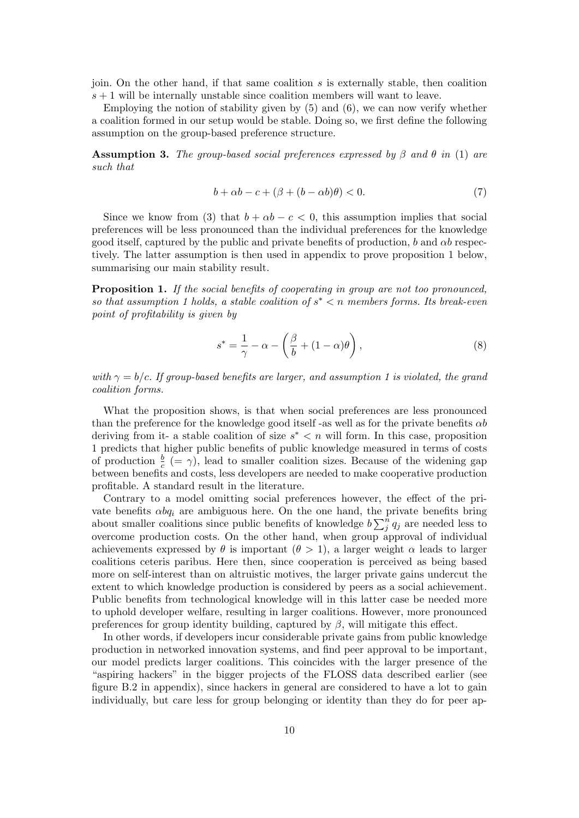join. On the other hand, if that same coalition  $s$  is externally stable, then coalition  $s + 1$  will be internally unstable since coalition members will want to leave.

Employing the notion of stability given by  $(5)$  and  $(6)$ , we can now verify whether a coalition formed in our setup would be stable. Doing so, we first define the following assumption on the group-based preference structure.

**Assumption 3.** The group-based social preferences expressed by  $\beta$  and  $\theta$  in (1) are such that

$$
b + \alpha b - c + (\beta + (b - \alpha b)\theta) < 0. \tag{7}
$$

Since we know from (3) that  $b + \alpha b - c < 0$ , this assumption implies that social preferences will be less pronounced than the individual preferences for the knowledge good itself, captured by the public and private benefits of production, b and  $\alpha b$  respectively. The latter assumption is then used in appendix to prove proposition 1 below, summarising our main stability result.

**Proposition 1.** If the social benefits of cooperating in group are not too pronounced, so that assumption 1 holds, a stable coalition of  $s^* < n$  members forms. Its break-even point of profitability is given by

$$
s^* = \frac{1}{\gamma} - \alpha - \left(\frac{\beta}{b} + (1 - \alpha)\theta\right),\tag{8}
$$

with  $\gamma = b/c$ . If group-based benefits are larger, and assumption 1 is violated, the grand coalition forms.

What the proposition shows, is that when social preferences are less pronounced than the preference for the knowledge good itself -as well as for the private benefits  $\alpha b$ deriving from it- a stable coalition of size  $s^* < n$  will form. In this case, proposition 1 predicts that higher public benefits of public knowledge measured in terms of costs of production  $\frac{b}{c}$  (=  $\gamma$ ), lead to smaller coalition sizes. Because of the widening gap between benefits and costs, less developers are needed to make cooperative production profitable. A standard result in the literature.

Contrary to a model omitting social preferences however, the effect of the private benefits  $\alpha bq_i$  are ambiguous here. On the one hand, the private benefits bring about smaller coalitions since public benefits of knowledge  $b\sum_{j=1}^{n} q_j$  are needed less to overcome production costs. On the other hand, when group approval of individual achievements expressed by  $\theta$  is important  $(\theta > 1)$ , a larger weight  $\alpha$  leads to larger coalitions ceteris paribus. Here then, since cooperation is perceived as being based more on self-interest than on altruistic motives, the larger private gains undercut the extent to which knowledge production is considered by peers as a social achievement. Public benefits from technological knowledge will in this latter case be needed more to uphold developer welfare, resulting in larger coalitions. However, more pronounced preferences for group identity building, captured by  $\beta$ , will mitigate this effect.

In other words, if developers incur considerable private gains from public knowledge production in networked innovation systems, and find peer approval to be important, our model predicts larger coalitions. This coincides with the larger presence of the "aspiring hackers" in the bigger projects of the FLOSS data described earlier (see figure B.2 in appendix), since hackers in general are considered to have a lot to gain individually, but care less for group belonging or identity than they do for peer ap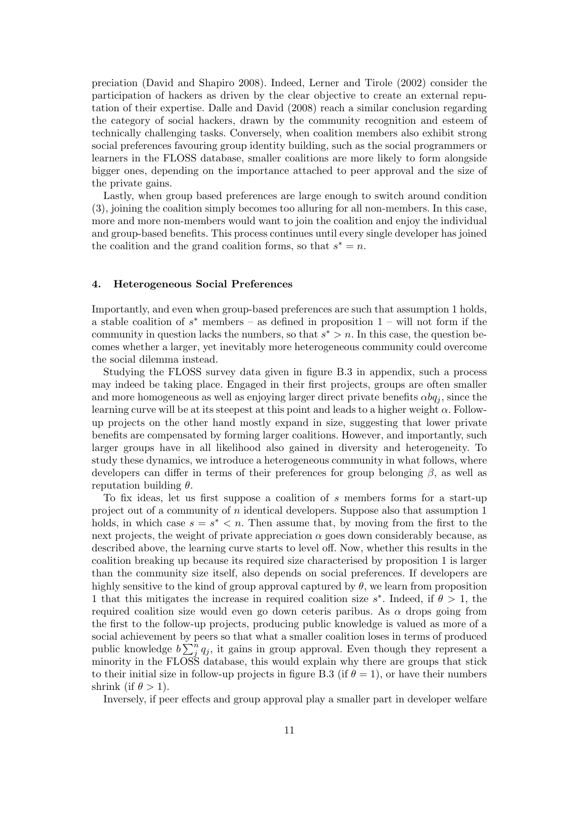preciation (David and Shapiro 2008). Indeed, Lerner and Tirole (2002) consider the participation of hackers as driven by the clear objective to create an external reputation of their expertise. Dalle and David (2008) reach a similar conclusion regarding the category of social hackers, drawn by the community recognition and esteem of technically challenging tasks. Conversely, when coalition members also exhibit strong social preferences favouring group identity building, such as the social programmers or learners in the FLOSS database, smaller coalitions are more likely to form alongside bigger ones, depending on the importance attached to peer approval and the size of the private gains.

Lastly, when group based preferences are large enough to switch around condition (3), joining the coalition simply becomes too alluring for all non-members. In this case, more and more non-members would want to join the coalition and enjoy the individual and group-based benefits. This process continues until every single developer has joined the coalition and the grand coalition forms, so that  $s^* = n$ .

## 4. Heterogeneous Social Preferences

Importantly, and even when group-based preferences are such that assumption 1 holds, a stable coalition of  $s^*$  members – as defined in proposition  $1 -$  will not form if the community in question lacks the numbers, so that  $s^* > n$ . In this case, the question becomes whether a larger, yet inevitably more heterogeneous community could overcome the social dilemma instead.

Studying the FLOSS survey data given in figure B.3 in appendix, such a process may indeed be taking place. Engaged in their first projects, groups are often smaller and more homogeneous as well as enjoying larger direct private benefits  $\alpha bq_i$ , since the learning curve will be at its steepest at this point and leads to a higher weight  $\alpha$ . Followup projects on the other hand mostly expand in size, suggesting that lower private benefits are compensated by forming larger coalitions. However, and importantly, such larger groups have in all likelihood also gained in diversity and heterogeneity. To study these dynamics, we introduce a heterogeneous community in what follows, where developers can differ in terms of their preferences for group belonging  $\beta$ , as well as reputation building  $\theta$ .

To fix ideas, let us first suppose a coalition of s members forms for a start-up project out of a community of  $n$  identical developers. Suppose also that assumption 1 holds, in which case  $s = s^* < n$ . Then assume that, by moving from the first to the next projects, the weight of private appreciation  $\alpha$  goes down considerably because, as described above, the learning curve starts to level off. Now, whether this results in the coalition breaking up because its required size characterised by proposition 1 is larger than the community size itself, also depends on social preferences. If developers are highly sensitive to the kind of group approval captured by  $\theta$ , we learn from proposition 1 that this mitigates the increase in required coalition size  $s^*$ . Indeed, if  $\theta > 1$ , the required coalition size would even go down ceteris paribus. As  $\alpha$  drops going from the first to the follow-up projects, producing public knowledge is valued as more of a social achievement by peers so that what a smaller coalition loses in terms of produced public knowledge  $b\sum_{j=1}^{n} q_j$ , it gains in group approval. Even though they represent a minority in the FLOSS database, this would explain why there are groups that stick to their initial size in follow-up projects in figure B.3 (if  $\theta = 1$ ), or have their numbers shrink (if  $\theta > 1$ ).

Inversely, if peer effects and group approval play a smaller part in developer welfare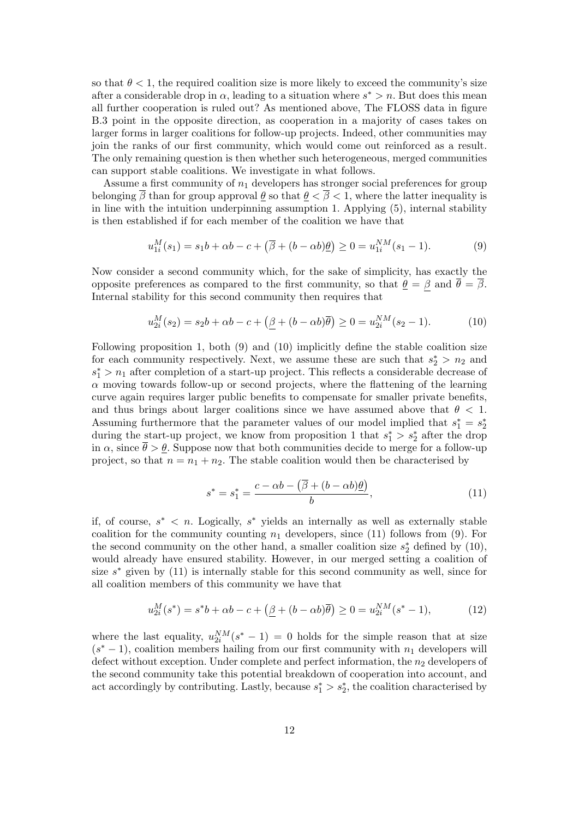so that  $\theta < 1$ , the required coalition size is more likely to exceed the community's size after a considerable drop in  $\alpha$ , leading to a situation where  $s^* > n$ . But does this mean all further cooperation is ruled out? As mentioned above, The FLOSS data in figure B.3 point in the opposite direction, as cooperation in a majority of cases takes on larger forms in larger coalitions for follow-up projects. Indeed, other communities may join the ranks of our first community, which would come out reinforced as a result. The only remaining question is then whether such heterogeneous, merged communities can support stable coalitions. We investigate in what follows.

Assume a first community of  $n_1$  developers has stronger social preferences for group belonging  $\overline{\beta}$  than for group approval  $\theta$  so that  $\theta < \overline{\beta} < 1$ , where the latter inequality is in line with the intuition underpinning assumption 1. Applying (5), internal stability is then established if for each member of the coalition we have that

$$
u_{1i}^M(s_1) = s_1b + \alpha b - c + (\overline{\beta} + (b - \alpha b)\underline{\theta}) \ge 0 = u_{1i}^{NM}(s_1 - 1).
$$
 (9)

Now consider a second community which, for the sake of simplicity, has exactly the opposite preferences as compared to the first community, so that  $\theta = \beta$  and  $\overline{\theta} = \overline{\beta}$ . Internal stability for this second community then requires that

$$
u_{2i}^M(s_2) = s_2b + \alpha b - c + \left(\underline{\beta} + (b - \alpha b)\overline{\theta}\right) \ge 0 = u_{2i}^{NM}(s_2 - 1). \tag{10}
$$

Following proposition 1, both (9) and (10) implicitly define the stable coalition size for each community respectively. Next, we assume these are such that  $s_2^* > n_2$  and  $s_1^* > n_1$  after completion of a start-up project. This reflects a considerable decrease of  $\alpha$  moving towards follow-up or second projects, where the flattening of the learning curve again requires larger public benefits to compensate for smaller private benefits, and thus brings about larger coalitions since we have assumed above that  $\theta < 1$ . Assuming furthermore that the parameter values of our model implied that  $s_1^* = s_2^*$ during the start-up project, we know from proposition 1 that  $s_1^* > s_2^*$  after the drop in  $\alpha$ , since  $\theta > \underline{\theta}$ . Suppose now that both communities decide to merge for a follow-up project, so that  $n = n_1 + n_2$ . The stable coalition would then be characterised by

$$
s^* = s_1^* = \frac{c - \alpha b - (\overline{\beta} + (b - \alpha b)\underline{\theta})}{b},\tag{11}
$$

if, of course,  $s^* < n$ . Logically,  $s^*$  yields an internally as well as externally stable coalition for the community counting  $n_1$  developers, since (11) follows from (9). For the second community on the other hand, a smaller coalition size  $s_2^*$  defined by (10), would already have ensured stability. However, in our merged setting a coalition of size  $s^*$  given by (11) is internally stable for this second community as well, since for all coalition members of this community we have that

$$
u_{2i}^M(s^*) = s^*b + \alpha b - c + \left(\underline{\beta} + (b - \alpha b)\overline{\theta}\right) \ge 0 = u_{2i}^{NM}(s^* - 1),\tag{12}
$$

where the last equality,  $u_{2i}^{NM}(s^* - 1) = 0$  holds for the simple reason that at size  $(s^* - 1)$ , coalition members hailing from our first community with  $n_1$  developers will defect without exception. Under complete and perfect information, the  $n_2$  developers of the second community take this potential breakdown of cooperation into account, and act accordingly by contributing. Lastly, because  $s_1^* > s_2^*$ , the coalition characterised by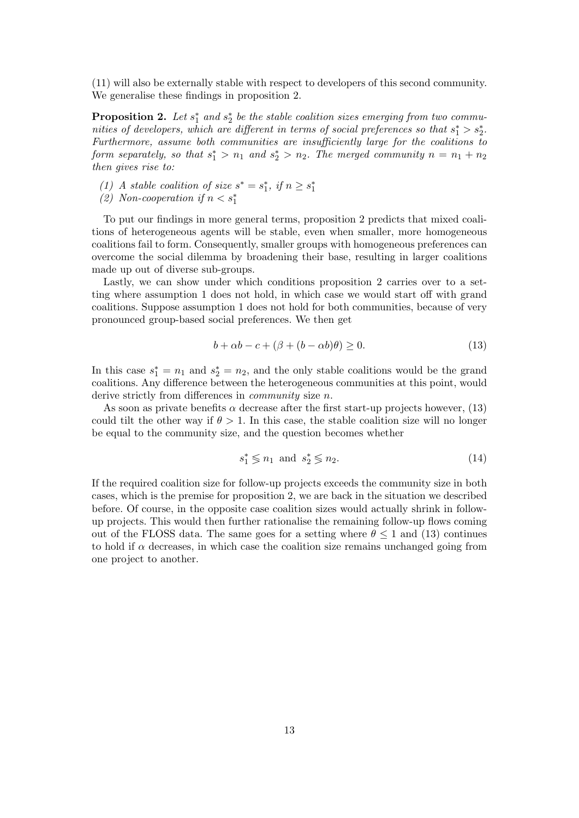(11) will also be externally stable with respect to developers of this second community. We generalise these findings in proposition 2.

**Proposition 2.** Let  $s_1^*$  and  $s_2^*$  be the stable coalition sizes emerging from two communities of developers, which are different in terms of social preferences so that  $s_1^* > s_2^*$ . Furthermore, assume both communities are insufficiently large for the coalitions to form separately, so that  $s_1^* > n_1$  and  $s_2^* > n_2$ . The merged community  $n = n_1 + n_2$ then gives rise to:

- (1) A stable coalition of size  $s^* = s_1^*$ , if  $n \geq s_1^*$
- (2) Non-cooperation if  $n < s_1^*$

To put our findings in more general terms, proposition 2 predicts that mixed coalitions of heterogeneous agents will be stable, even when smaller, more homogeneous coalitions fail to form. Consequently, smaller groups with homogeneous preferences can overcome the social dilemma by broadening their base, resulting in larger coalitions made up out of diverse sub-groups.

Lastly, we can show under which conditions proposition 2 carries over to a setting where assumption 1 does not hold, in which case we would start off with grand coalitions. Suppose assumption 1 does not hold for both communities, because of very pronounced group-based social preferences. We then get

$$
b + \alpha b - c + (\beta + (b - \alpha b)\theta) \ge 0.
$$
 (13)

In this case  $s_1^* = n_1$  and  $s_2^* = n_2$ , and the only stable coalitions would be the grand coalitions. Any difference between the heterogeneous communities at this point, would derive strictly from differences in *community* size *n*.

As soon as private benefits  $\alpha$  decrease after the first start-up projects however, (13) could tilt the other way if  $\theta > 1$ . In this case, the stable coalition size will no longer be equal to the community size, and the question becomes whether

$$
s_1^* \lessgtr n_1 \text{ and } s_2^* \lessgtr n_2. \tag{14}
$$

If the required coalition size for follow-up projects exceeds the community size in both cases, which is the premise for proposition 2, we are back in the situation we described before. Of course, in the opposite case coalition sizes would actually shrink in followup projects. This would then further rationalise the remaining follow-up flows coming out of the FLOSS data. The same goes for a setting where  $\theta \leq 1$  and (13) continues to hold if  $\alpha$  decreases, in which case the coalition size remains unchanged going from one project to another.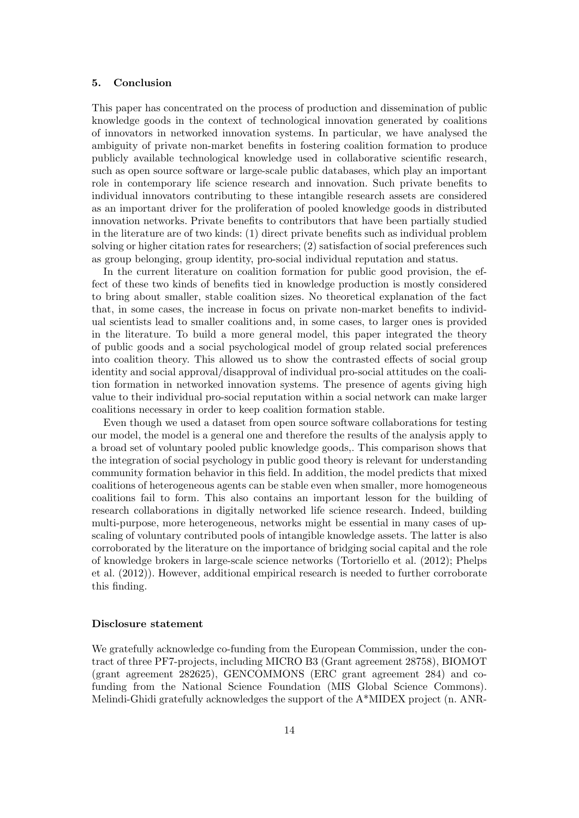# 5. Conclusion

This paper has concentrated on the process of production and dissemination of public knowledge goods in the context of technological innovation generated by coalitions of innovators in networked innovation systems. In particular, we have analysed the ambiguity of private non-market benefits in fostering coalition formation to produce publicly available technological knowledge used in collaborative scientific research, such as open source software or large-scale public databases, which play an important role in contemporary life science research and innovation. Such private benefits to individual innovators contributing to these intangible research assets are considered as an important driver for the proliferation of pooled knowledge goods in distributed innovation networks. Private benefits to contributors that have been partially studied in the literature are of two kinds: (1) direct private benefits such as individual problem solving or higher citation rates for researchers; (2) satisfaction of social preferences such as group belonging, group identity, pro-social individual reputation and status.

In the current literature on coalition formation for public good provision, the effect of these two kinds of benefits tied in knowledge production is mostly considered to bring about smaller, stable coalition sizes. No theoretical explanation of the fact that, in some cases, the increase in focus on private non-market benefits to individual scientists lead to smaller coalitions and, in some cases, to larger ones is provided in the literature. To build a more general model, this paper integrated the theory of public goods and a social psychological model of group related social preferences into coalition theory. This allowed us to show the contrasted effects of social group identity and social approval/disapproval of individual pro-social attitudes on the coalition formation in networked innovation systems. The presence of agents giving high value to their individual pro-social reputation within a social network can make larger coalitions necessary in order to keep coalition formation stable.

Even though we used a dataset from open source software collaborations for testing our model, the model is a general one and therefore the results of the analysis apply to a broad set of voluntary pooled public knowledge goods,. This comparison shows that the integration of social psychology in public good theory is relevant for understanding community formation behavior in this field. In addition, the model predicts that mixed coalitions of heterogeneous agents can be stable even when smaller, more homogeneous coalitions fail to form. This also contains an important lesson for the building of research collaborations in digitally networked life science research. Indeed, building multi-purpose, more heterogeneous, networks might be essential in many cases of upscaling of voluntary contributed pools of intangible knowledge assets. The latter is also corroborated by the literature on the importance of bridging social capital and the role of knowledge brokers in large-scale science networks (Tortoriello et al. (2012); Phelps et al. (2012)). However, additional empirical research is needed to further corroborate this finding.

#### Disclosure statement

We gratefully acknowledge co-funding from the European Commission, under the contract of three PF7-projects, including MICRO B3 (Grant agreement 28758), BIOMOT (grant agreement 282625), GENCOMMONS (ERC grant agreement 284) and cofunding from the National Science Foundation (MIS Global Science Commons). Melindi-Ghidi gratefully acknowledges the support of the A\*MIDEX project (n. ANR-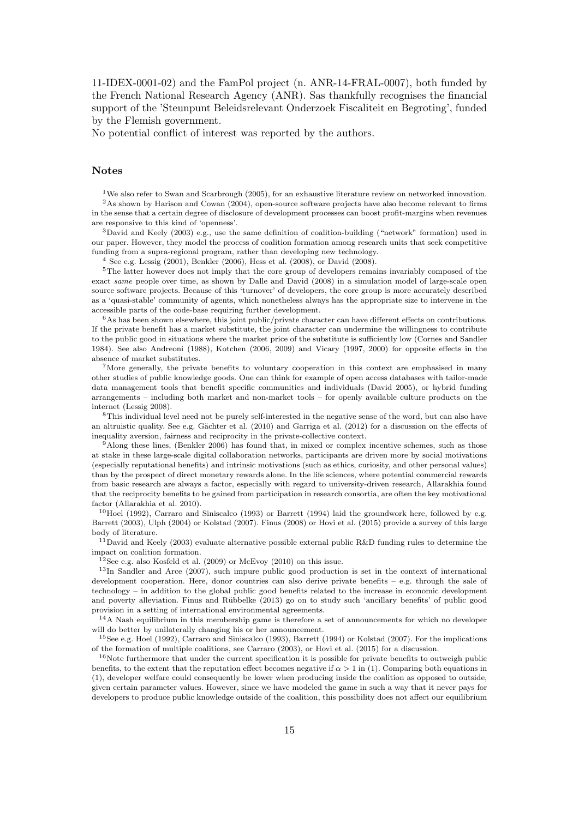11-IDEX-0001-02) and the FamPol project (n. ANR-14-FRAL-0007), both funded by the French National Research Agency (ANR). Sas thankfully recognises the financial support of the 'Steunpunt Beleidsrelevant Onderzoek Fiscaliteit en Begroting', funded by the Flemish government.

No potential conflict of interest was reported by the authors.

#### Notes

<sup>1</sup>We also refer to Swan and Scarbrough (2005), for an exhaustive literature review on networked innovation. <sup>2</sup>As shown by Harison and Cowan (2004), open-source software projects have also become relevant to firms in the sense that a certain degree of disclosure of development processes can boost profit-margins when revenues are responsive to this kind of 'openness'.

<sup>3</sup>David and Keely (2003) e.g., use the same definition of coalition-building ("network" formation) used in our paper. However, they model the process of coalition formation among research units that seek competitive funding from a supra-regional program, rather than developing new technology.

<sup>4</sup> See e.g. Lessig (2001), Benkler (2006), Hess et al. (2008), or David (2008).

<sup>5</sup>The latter however does not imply that the core group of developers remains invariably composed of the exact same people over time, as shown by Dalle and David (2008) in a simulation model of large-scale open source software projects. Because of this 'turnover' of developers, the core group is more accurately described as a 'quasi-stable' community of agents, which nonetheless always has the appropriate size to intervene in the accessible parts of the code-base requiring further development.

<sup>6</sup>As has been shown elsewhere, this joint public/private character can have different effects on contributions. If the private benefit has a market substitute, the joint character can undermine the willingness to contribute to the public good in situations where the market price of the substitute is sufficiently low (Cornes and Sandler 1984). See also Andreoni (1988), Kotchen (2006, 2009) and Vicary (1997, 2000) for opposite effects in the absence of market substitutes.

<sup>7</sup>More generally, the private benefits to voluntary cooperation in this context are emphasised in many other studies of public knowledge goods. One can think for example of open access databases with tailor-made data management tools that benefit specific communities and individuals (David 2005), or hybrid funding arrangements – including both market and non-market tools – for openly available culture products on the internet (Lessig 2008).

<sup>8</sup>This individual level need not be purely self-interested in the negative sense of the word, but can also have an altruistic quality. See e.g. Gächter et al. (2010) and Garriga et al. (2012) for a discussion on the effects of inequality aversion, fairness and reciprocity in the private-collective context.

 $9A$ long these lines, (Benkler 2006) has found that, in mixed or complex incentive schemes, such as those at stake in these large-scale digital collaboration networks, participants are driven more by social motivations (especially reputational benefits) and intrinsic motivations (such as ethics, curiosity, and other personal values) than by the prospect of direct monetary rewards alone. In the life sciences, where potential commercial rewards from basic research are always a factor, especially with regard to university-driven research, Allarakhia found that the reciprocity benefits to be gained from participation in research consortia, are often the key motivational factor (Allarakhia et al. 2010).

<sup>10</sup>Hoel (1992), Carraro and Siniscalco (1993) or Barrett (1994) laid the groundwork here, followed by e.g. Barrett (2003), Ulph (2004) or Kolstad (2007). Finus (2008) or Hovi et al. (2015) provide a survey of this large body of literature.

<sup>11</sup>David and Keely (2003) evaluate alternative possible external public R&D funding rules to determine the impact on coalition formation.

<sup>12</sup>See e.g. also Kosfeld et al.  $(2009)$  or McEvoy  $(2010)$  on this issue.

<sup>13</sup>In Sandler and Arce (2007), such impure public good production is set in the context of international development cooperation. Here, donor countries can also derive private benefits – e.g. through the sale of technology – in addition to the global public good benefits related to the increase in economic development and poverty alleviation. Finus and Rübbelke (2013) go on to study such 'ancillary benefits' of public good provision in a setting of international environmental agreements.

<sup>14</sup>A Nash equilibrium in this membership game is therefore a set of announcements for which no developer will do better by unilaterally changing his or her announcement.

<sup>15</sup>See e.g. Hoel (1992), Carraro and Siniscalco (1993), Barrett (1994) or Kolstad (2007). For the implications of the formation of multiple coalitions, see Carraro (2003), or Hovi et al. (2015) for a discussion.

<sup>16</sup>Note furthermore that under the current specification it is possible for private benefits to outweigh public benefits, to the extent that the reputation effect becomes negative if  $\alpha > 1$  in (1). Comparing both equations in (1), developer welfare could consequently be lower when producing inside the coalition as opposed to outside, given certain parameter values. However, since we have modeled the game in such a way that it never pays for developers to produce public knowledge outside of the coalition, this possibility does not affect our equilibrium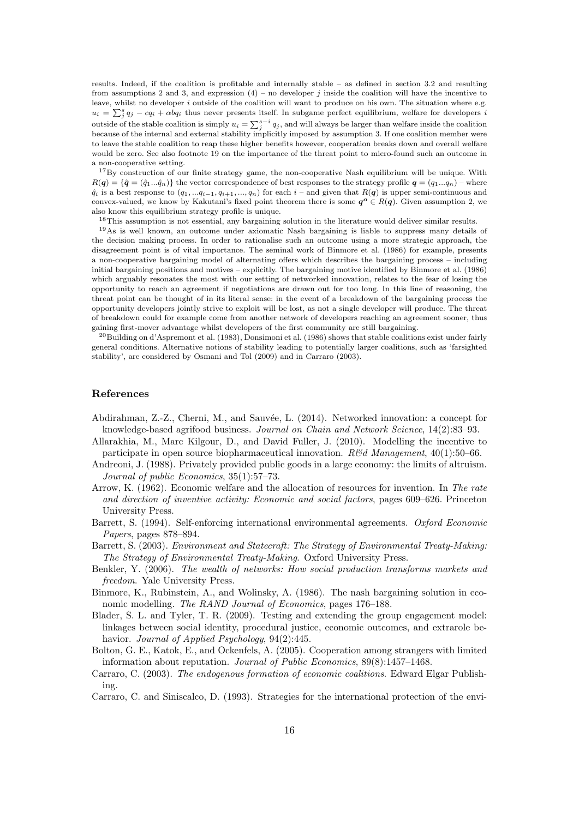results. Indeed, if the coalition is profitable and internally stable – as defined in section 3.2 and resulting from assumptions 2 and 3, and expression  $(4)$  – no developer j inside the coalition will have the incentive to leave, whilst no developer  $i$  outside of the coalition will want to produce on his own. The situation where e.g.  $u_i = \sum_j^s q_j - cq_i + \alpha bq_i$  thus never presents itself. In subgame perfect equilibrium, welfare for developers i outside of the stable coalition is simply  $u_i = \sum_j^{s-i} q_j$ , and will always be larger than welfare inside the coalition because of the internal and external stability implicitly imposed by assumption 3. If one coalition member were to leave the stable coalition to reap these higher benefits however, cooperation breaks down and overall welfare would be zero. See also footnote 19 on the importance of the threat point to micro-found such an outcome in a non-cooperative setting.

<sup>17</sup>By construction of our finite strategy game, the non-cooperative Nash equilibrium will be unique. With  $R(q) = {\hat{q} = (\hat{q}_1...\hat{q}_n)}$  the vector correspondence of best responses to the strategy profile  $q = (q_1...q_n)$  – where  $\hat{q}_i$  is a best response to  $(q_1, \ldots q_{i-1}, q_{i+1}, \ldots, q_n)$  for each  $i$  – and given that  $R(q)$  is upper semi-continuous and convex-valued, we know by Kakutani's fixed point theorem there is some  $q^o \in R(q)$ . Given assumption 2, we also know this equilibrium strategy profile is unique.

<sup>18</sup>This assumption is not essential, any bargaining solution in the literature would deliver similar results.

<sup>19</sup>As is well known, an outcome under axiomatic Nash bargaining is liable to suppress many details of the decision making process. In order to rationalise such an outcome using a more strategic approach, the disagreement point is of vital importance. The seminal work of Binmore et al. (1986) for example, presents a non-cooperative bargaining model of alternating offers which describes the bargaining process – including initial bargaining positions and motives – explicitly. The bargaining motive identified by Binmore et al. (1986) which arguably resonates the most with our setting of networked innovation, relates to the fear of losing the opportunity to reach an agreement if negotiations are drawn out for too long. In this line of reasoning, the threat point can be thought of in its literal sense: in the event of a breakdown of the bargaining process the opportunity developers jointly strive to exploit will be lost, as not a single developer will produce. The threat of breakdown could for example come from another network of developers reaching an agreement sooner, thus gaining first-mover advantage whilst developers of the first community are still bargaining.

<sup>20</sup>Building on d'Aspremont et al. (1983), Donsimoni et al. (1986) shows that stable coalitions exist under fairly general conditions. Alternative notions of stability leading to potentially larger coalitions, such as 'farsighted stability', are considered by Osmani and Tol (2009) and in Carraro (2003).

## References

- Abdirahman, Z.-Z., Cherni, M., and Sauvée, L. (2014). Networked innovation: a concept for knowledge-based agrifood business. Journal on Chain and Network Science, 14(2):83–93.
- Allarakhia, M., Marc Kilgour, D., and David Fuller, J. (2010). Modelling the incentive to participate in open source biopharmaceutical innovation.  $R\&d$  Management, 40(1):50–66.
- Andreoni, J. (1988). Privately provided public goods in a large economy: the limits of altruism. Journal of public Economics, 35(1):57–73.
- Arrow, K. (1962). Economic welfare and the allocation of resources for invention. In The rate and direction of inventive activity: Economic and social factors, pages 609–626. Princeton University Press.
- Barrett, S. (1994). Self-enforcing international environmental agreements. Oxford Economic Papers, pages 878–894.
- Barrett, S. (2003). Environment and Statecraft: The Strategy of Environmental Treaty-Making: The Strategy of Environmental Treaty-Making. Oxford University Press.
- Benkler, Y. (2006). The wealth of networks: How social production transforms markets and freedom. Yale University Press.
- Binmore, K., Rubinstein, A., and Wolinsky, A. (1986). The nash bargaining solution in economic modelling. The RAND Journal of Economics, pages 176–188.
- Blader, S. L. and Tyler, T. R. (2009). Testing and extending the group engagement model: linkages between social identity, procedural justice, economic outcomes, and extrarole behavior. Journal of Applied Psychology, 94(2):445.
- Bolton, G. E., Katok, E., and Ockenfels, A. (2005). Cooperation among strangers with limited information about reputation. Journal of Public Economics, 89(8):1457–1468.
- Carraro, C. (2003). The endogenous formation of economic coalitions. Edward Elgar Publishing.
- Carraro, C. and Siniscalco, D. (1993). Strategies for the international protection of the envi-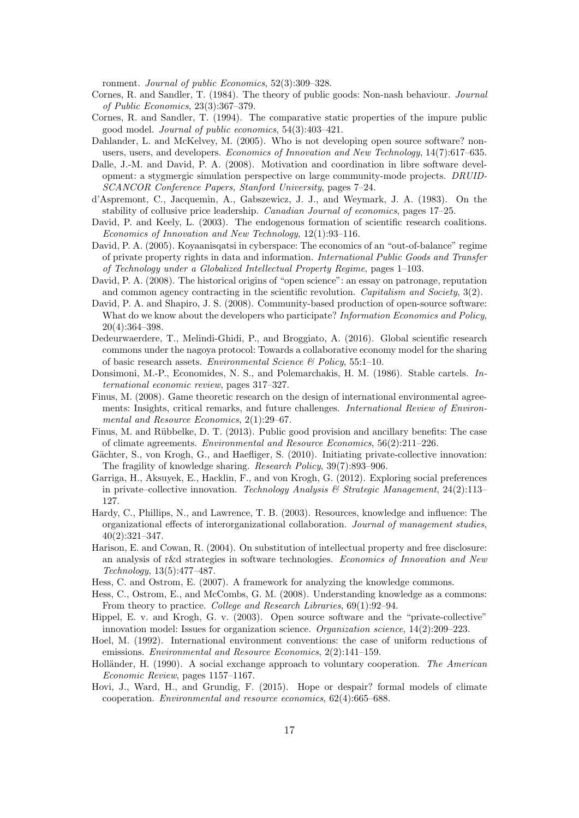ronment. Journal of public Economics, 52(3):309–328.

- Cornes, R. and Sandler, T. (1984). The theory of public goods: Non-nash behaviour. Journal of Public Economics, 23(3):367–379.
- Cornes, R. and Sandler, T. (1994). The comparative static properties of the impure public good model. Journal of public economics, 54(3):403–421.
- Dahlander, L. and McKelvey, M. (2005). Who is not developing open source software? nonusers, users, and developers. Economics of Innovation and New Technology, 14(7):617–635.
- Dalle, J.-M. and David, P. A. (2008). Motivation and coordination in libre software development: a stygmergic simulation perspective on large community-mode projects. DRUID-SCANCOR Conference Papers, Stanford University, pages 7–24.
- d'Aspremont, C., Jacquemin, A., Gabszewicz, J. J., and Weymark, J. A. (1983). On the stability of collusive price leadership. Canadian Journal of economics, pages 17–25.
- David, P. and Keely, L. (2003). The endogenous formation of scientific research coalitions. Economics of Innovation and New Technology, 12(1):93–116.
- David, P. A. (2005). Koyaanisqatsi in cyberspace: The economics of an "out-of-balance" regime of private property rights in data and information. International Public Goods and Transfer of Technology under a Globalized Intellectual Property Regime, pages 1–103.
- David, P. A. (2008). The historical origins of "open science": an essay on patronage, reputation and common agency contracting in the scientific revolution. Capitalism and Society, 3(2).
- David, P. A. and Shapiro, J. S. (2008). Community-based production of open-source software: What do we know about the developers who participate? Information Economics and Policy, 20(4):364–398.
- Dedeurwaerdere, T., Melindi-Ghidi, P., and Broggiato, A. (2016). Global scientific research commons under the nagoya protocol: Towards a collaborative economy model for the sharing of basic research assets. Environmental Science & Policy, 55:1-10.
- Donsimoni, M.-P., Economides, N. S., and Polemarchakis, H. M. (1986). Stable cartels. International economic review, pages 317–327.
- Finus, M. (2008). Game theoretic research on the design of international environmental agreements: Insights, critical remarks, and future challenges. International Review of Environmental and Resource Economics, 2(1):29–67.
- Finus, M. and Rübbelke, D. T. (2013). Public good provision and ancillary benefits: The case of climate agreements. Environmental and Resource Economics, 56(2):211–226.
- Gächter, S., von Krogh, G., and Haefliger, S. (2010). Initiating private-collective innovation: The fragility of knowledge sharing. Research Policy, 39(7):893–906.
- Garriga, H., Aksuyek, E., Hacklin, F., and von Krogh, G. (2012). Exploring social preferences in private–collective innovation. Technology Analysis & Strategic Management,  $24(2):113-$ 127.
- Hardy, C., Phillips, N., and Lawrence, T. B. (2003). Resources, knowledge and influence: The organizational effects of interorganizational collaboration. Journal of management studies, 40(2):321–347.
- Harison, E. and Cowan, R. (2004). On substitution of intellectual property and free disclosure: an analysis of r&d strategies in software technologies. Economics of Innovation and New Technology, 13(5):477–487.
- Hess, C. and Ostrom, E. (2007). A framework for analyzing the knowledge commons.
- Hess, C., Ostrom, E., and McCombs, G. M. (2008). Understanding knowledge as a commons: From theory to practice. College and Research Libraries, 69(1):92–94.
- Hippel, E. v. and Krogh, G. v. (2003). Open source software and the "private-collective" innovation model: Issues for organization science. Organization science,  $14(2):209-223$ .
- Hoel, M. (1992). International environment conventions: the case of uniform reductions of emissions. Environmental and Resource Economics, 2(2):141-159.
- Holländer, H. (1990). A social exchange approach to voluntary cooperation. The American Economic Review, pages 1157–1167.
- Hovi, J., Ward, H., and Grundig, F. (2015). Hope or despair? formal models of climate cooperation. Environmental and resource economics, 62(4):665–688.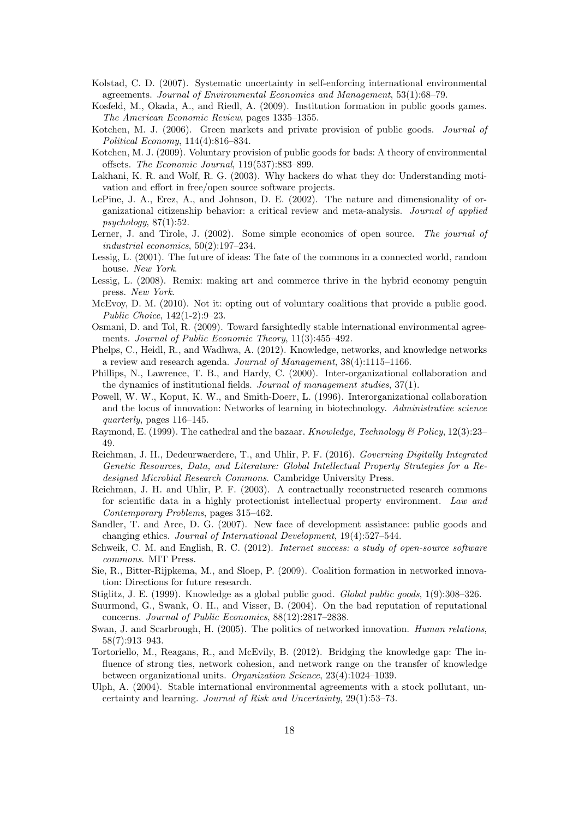- Kolstad, C. D. (2007). Systematic uncertainty in self-enforcing international environmental agreements. Journal of Environmental Economics and Management, 53(1):68–79.
- Kosfeld, M., Okada, A., and Riedl, A. (2009). Institution formation in public goods games. The American Economic Review, pages 1335–1355.
- Kotchen, M. J. (2006). Green markets and private provision of public goods. Journal of Political Economy, 114(4):816–834.
- Kotchen, M. J. (2009). Voluntary provision of public goods for bads: A theory of environmental offsets. The Economic Journal, 119(537):883–899.
- Lakhani, K. R. and Wolf, R. G. (2003). Why hackers do what they do: Understanding motivation and effort in free/open source software projects.
- LePine, J. A., Erez, A., and Johnson, D. E. (2002). The nature and dimensionality of organizational citizenship behavior: a critical review and meta-analysis. Journal of applied psychology, 87(1):52.
- Lerner, J. and Tirole, J. (2002). Some simple economics of open source. The journal of industrial economics, 50(2):197–234.
- Lessig, L. (2001). The future of ideas: The fate of the commons in a connected world, random house. New York.
- Lessig, L. (2008). Remix: making art and commerce thrive in the hybrid economy penguin press. New York.
- McEvoy, D. M. (2010). Not it: opting out of voluntary coalitions that provide a public good. Public Choice, 142(1-2):9–23.
- Osmani, D. and Tol, R. (2009). Toward farsightedly stable international environmental agreements. Journal of Public Economic Theory, 11(3):455–492.
- Phelps, C., Heidl, R., and Wadhwa, A. (2012). Knowledge, networks, and knowledge networks a review and research agenda. Journal of Management, 38(4):1115–1166.
- Phillips, N., Lawrence, T. B., and Hardy, C. (2000). Inter-organizational collaboration and the dynamics of institutional fields. Journal of management studies, 37(1).
- Powell, W. W., Koput, K. W., and Smith-Doerr, L. (1996). Interorganizational collaboration and the locus of innovation: Networks of learning in biotechnology. Administrative science quarterly, pages 116–145.
- Raymond, E. (1999). The cathedral and the bazaar. Knowledge, Technology & Policy, 12(3):23– 49.
- Reichman, J. H., Dedeurwaerdere, T., and Uhlir, P. F. (2016). Governing Digitally Integrated Genetic Resources, Data, and Literature: Global Intellectual Property Strategies for a Redesigned Microbial Research Commons. Cambridge University Press.
- Reichman, J. H. and Uhlir, P. F. (2003). A contractually reconstructed research commons for scientific data in a highly protectionist intellectual property environment. Law and Contemporary Problems, pages 315–462.
- Sandler, T. and Arce, D. G. (2007). New face of development assistance: public goods and changing ethics. Journal of International Development, 19(4):527–544.
- Schweik, C. M. and English, R. C. (2012). Internet success: a study of open-source software commons. MIT Press.
- Sie, R., Bitter-Rijpkema, M., and Sloep, P. (2009). Coalition formation in networked innovation: Directions for future research.
- Stiglitz, J. E. (1999). Knowledge as a global public good. Global public goods, 1(9):308–326.
- Suurmond, G., Swank, O. H., and Visser, B. (2004). On the bad reputation of reputational concerns. Journal of Public Economics, 88(12):2817–2838.
- Swan, J. and Scarbrough, H. (2005). The politics of networked innovation. Human relations, 58(7):913–943.
- Tortoriello, M., Reagans, R., and McEvily, B. (2012). Bridging the knowledge gap: The influence of strong ties, network cohesion, and network range on the transfer of knowledge between organizational units. Organization Science, 23(4):1024–1039.
- Ulph, A. (2004). Stable international environmental agreements with a stock pollutant, uncertainty and learning. Journal of Risk and Uncertainty, 29(1):53–73.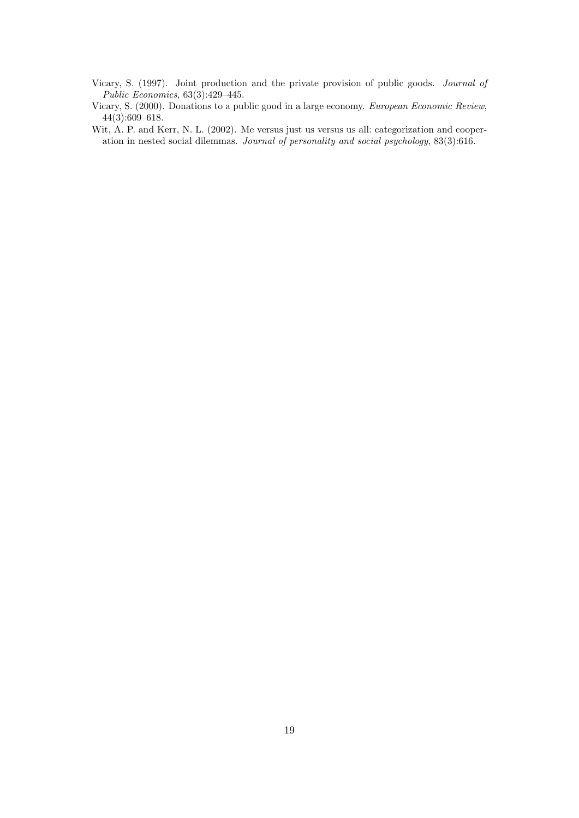- Vicary, S. (1997). Joint production and the private provision of public goods. Journal of Public Economics, 63(3):429–445.
- Vicary, S. (2000). Donations to a public good in a large economy. European Economic Review, 44(3):609–618.
- Wit, A. P. and Kerr, N. L. (2002). Me versus just us versus us all: categorization and cooperation in nested social dilemmas. Journal of personality and social psychology, 83(3):616.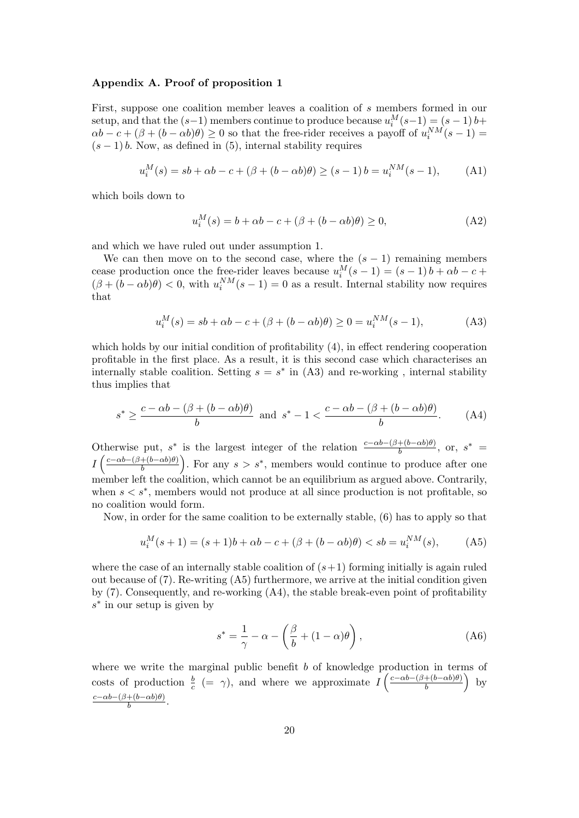# Appendix A. Proof of proposition 1

First, suppose one coalition member leaves a coalition of s members formed in our setup, and that the  $(s-1)$  members continue to produce because  $u_i^M(s-1) = (s-1) b +$  $\alpha b - c + (\beta + (b - \alpha b)\theta) \ge 0$  so that the free-rider receives a payoff of  $u_i^{NM}(s-1) =$  $(s - 1) b$ . Now, as defined in (5), internal stability requires

$$
u_i^M(s) = sb + \alpha b - c + (\beta + (b - \alpha b)\theta) \ge (s - 1) b = u_i^{NM}(s - 1),
$$
 (A1)

which boils down to

$$
u_i^M(s) = b + \alpha b - c + (\beta + (b - \alpha b)\theta) \ge 0,
$$
\n(A2)

and which we have ruled out under assumption 1.

We can then move on to the second case, where the  $(s - 1)$  remaining members cease production once the free-rider leaves because  $u_i^M(s-1) = (s-1)b + \alpha b - c +$  $(\beta + (b - \alpha b)\theta) < 0$ , with  $u_i^{NM}(s - 1) = 0$  as a result. Internal stability now requires that

$$
u_i^M(s) = sb + \alpha b - c + (\beta + (b - \alpha b)\theta) \ge 0 = u_i^{NM}(s - 1),
$$
 (A3)

which holds by our initial condition of profitability  $(4)$ , in effect rendering cooperation profitable in the first place. As a result, it is this second case which characterises an internally stable coalition. Setting  $s = s^*$  in (A3) and re-working, internal stability thus implies that

$$
s^* \ge \frac{c - \alpha b - (\beta + (b - \alpha b)\theta)}{b} \text{ and } s^* - 1 < \frac{c - \alpha b - (\beta + (b - \alpha b)\theta)}{b}.
$$
 (A4)

Otherwise put, s<sup>\*</sup> is the largest integer of the relation  $\frac{c-\alpha b-(\beta+(b-\alpha b)\theta)}{b}$ , or, s<sup>\*</sup>  $I\left(\frac{c-\alpha b-(\beta+(b-\alpha b)\theta)}{b}\right)$  $\left(\frac{b - \alpha b}{b}\right)$ . For any  $s > s^*$ , members would continue to produce after one member left the coalition, which cannot be an equilibrium as argued above. Contrarily, when  $s < s^*$ , members would not produce at all since production is not profitable, so no coalition would form.

Now, in order for the same coalition to be externally stable, (6) has to apply so that

$$
u_i^M(s+1) = (s+1)b + \alpha b - c + (\beta + (b - \alpha b)\theta) < sb = u_i^{NM}(s), \tag{A5}
$$

where the case of an internally stable coalition of  $(s+1)$  forming initially is again ruled out because of  $(7)$ . Re-writing  $(45)$  furthermore, we arrive at the initial condition given by (7). Consequently, and re-working (A4), the stable break-even point of profitability  $s^*$  in our setup is given by

$$
s^* = \frac{1}{\gamma} - \alpha - \left(\frac{\beta}{b} + (1 - \alpha)\theta\right),\tag{A6}
$$

where we write the marginal public benefit  $b$  of knowledge production in terms of costs of production  $\frac{b}{c}$  (=  $\gamma$ ), and where we approximate  $I\left(\frac{c-\alpha b-(\beta+(b-\alpha b)\theta)}{b}\right)$  $\frac{+(b-\alpha b)\theta)}{b}$  by  $c-\alpha b-(\beta+(b-\alpha b)\theta)$  $\frac{+(b-\alpha b)\theta)}{b}$ .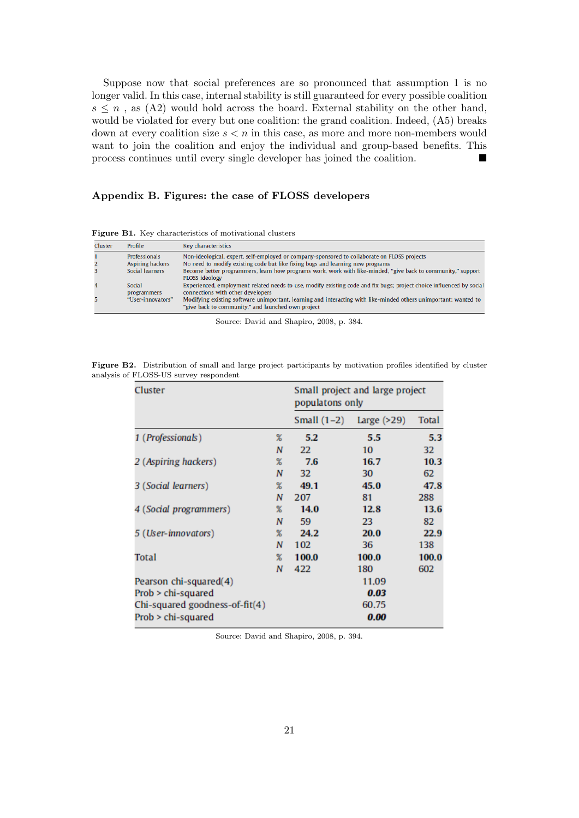Suppose now that social preferences are so pronounced that assumption 1 is no longer valid. In this case, internal stability is still guaranteed for every possible coalition  $s \leq n$ , as (A2) would hold across the board. External stability on the other hand, would be violated for every but one coalition: the grand coalition. Indeed, (A5) breaks down at every coalition size  $s < n$  in this case, as more and more non-members would want to join the coalition and enjoy the individual and group-based benefits. This process continues until every single developer has joined the coalition.

# Appendix B. Figures: the case of FLOSS developers

| Cluster | Profile                 | Key characteristics                                                                                                                                                    |
|---------|-------------------------|------------------------------------------------------------------------------------------------------------------------------------------------------------------------|
|         | <b>Professionals</b>    | Non-ideological, expert, self-employed or company-sponsored to collaborate on FLOSS projects                                                                           |
|         | <b>Aspiring hackers</b> | No need to modify existing code but like fixing bugs and learning new programs                                                                                         |
|         | Social learners         | Become better programmers, learn how programs work, work with like-minded, "give back to community," support<br><b>FLOSS</b> ideology                                  |
|         | Social<br>programmers   | Experienced, employment related needs to use, modify existing code and fix bugs; project choice influenced by social<br>connections with other developers              |
|         | "User-innovators"       | Modifying existing software unimportant, learning and interacting with like-minded others unimportant; wanted to<br>"give back to community," and launched own project |

Figure B1. Key characteristics of motivational clusters

Source: David and Shapiro, 2008, p. 384.

Figure B2. Distribution of small and large project participants by motivation profiles identified by cluster analysis of FLOSS-US survey respondent

| Cluster                        |    | Small project and large project<br>populatons only |               |              |
|--------------------------------|----|----------------------------------------------------|---------------|--------------|
|                                |    | Small $(1-2)$                                      | Large $(>29)$ | <b>Total</b> |
| 1 (Professionals)              | X. | 5.2                                                | 5.5           | 5.3          |
|                                | N  | 22                                                 | 10            | 32           |
| 2 (Aspiring hackers)           | X  | 7.6                                                | 16.7          | 10.3         |
|                                | N  | 32                                                 | 30            | 62           |
| 3 (Social learners)            | X  | 49.1                                               | 45.0          | 47.8         |
|                                | N  | 207                                                | 81            | 288          |
| 4 (Social programmers)         | X  | 14.0                                               | 12.8          | 13.6         |
|                                | N  | 59                                                 | 23            | 82           |
| 5 (User-innovators)            | X  | 24.2                                               | 20.0          | 22.9         |
|                                | Ν  | 102                                                | 36            | 138          |
| Total                          | X  | 100.0                                              | 100.0         | 100.0        |
|                                | N  | 422                                                | 180           | 602          |
| Pearson chi-squared(4)         |    |                                                    | 11.09         |              |
| Prob > chi-squared             |    |                                                    | 0.03          |              |
| Chi-squared goodness-of-fit(4) |    |                                                    | 60.75         |              |
| Prob > chi-squared             |    |                                                    | 0.00          |              |

Source: David and Shapiro, 2008, p. 394.